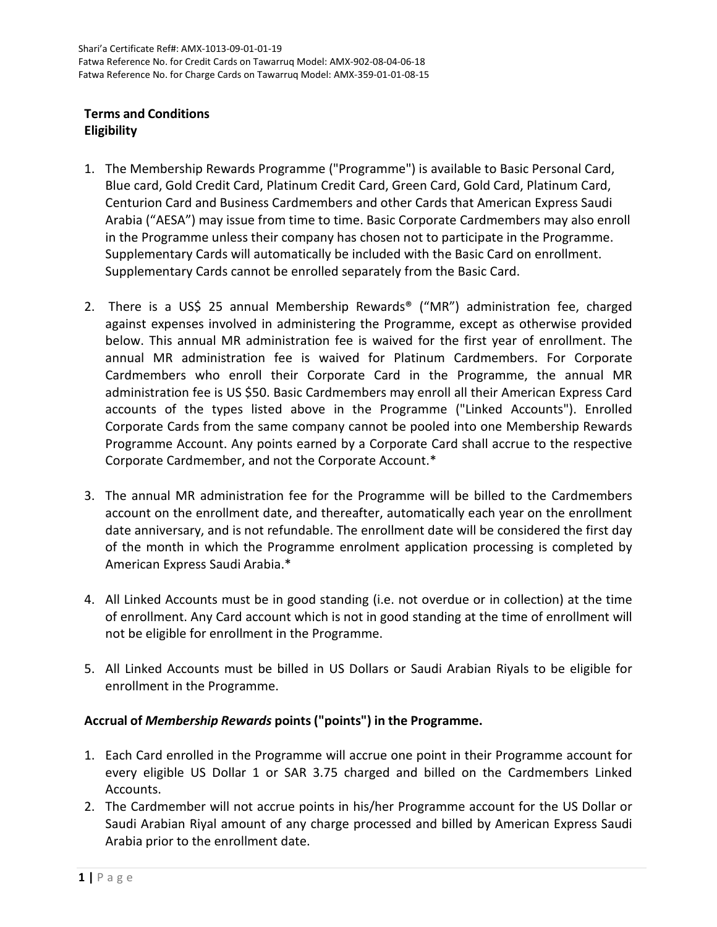# **Terms and Conditions Eligibility**

- 1. The Membership Rewards Programme ("Programme") is available to Basic Personal Card, Blue card, Gold Credit Card, Platinum Credit Card, Green Card, Gold Card, Platinum Card, Centurion Card and Business Cardmembers and other Cards that American Express Saudi Arabia ("AESA") may issue from time to time. Basic Corporate Cardmembers may also enroll in the Programme unless their company has chosen not to participate in the Programme. Supplementary Cards will automatically be included with the Basic Card on enrollment. Supplementary Cards cannot be enrolled separately from the Basic Card.
- 2. There is a US\$ 25 annual Membership Rewards® ("MR") administration fee, charged against expenses involved in administering the Programme, except as otherwise provided below. This annual MR administration fee is waived for the first year of enrollment. The annual MR administration fee is waived for Platinum Cardmembers. For Corporate Cardmembers who enroll their Corporate Card in the Programme, the annual MR administration fee is US \$50. Basic Cardmembers may enroll all their American Express Card accounts of the types listed above in the Programme ("Linked Accounts"). Enrolled Corporate Cards from the same company cannot be pooled into one Membership Rewards Programme Account. Any points earned by a Corporate Card shall accrue to the respective Corporate Cardmember, and not the Corporate Account.\*
- 3. The annual MR administration fee for the Programme will be billed to the Cardmembers account on the enrollment date, and thereafter, automatically each year on the enrollment date anniversary, and is not refundable. The enrollment date will be considered the first day of the month in which the Programme enrolment application processing is completed by American Express Saudi Arabia.\*
- 4. All Linked Accounts must be in good standing (i.e. not overdue or in collection) at the time of enrollment. Any Card account which is not in good standing at the time of enrollment will not be eligible for enrollment in the Programme.
- 5. All Linked Accounts must be billed in US Dollars or Saudi Arabian Riyals to be eligible for enrollment in the Programme.

# **Accrual of** *Membership Rewards* **points ("points") in the Programme.**

- 1. Each Card enrolled in the Programme will accrue one point in their Programme account for every eligible US Dollar 1 or SAR 3.75 charged and billed on the Cardmembers Linked Accounts.
- 2. The Cardmember will not accrue points in his/her Programme account for the US Dollar or Saudi Arabian Riyal amount of any charge processed and billed by American Express Saudi Arabia prior to the enrollment date.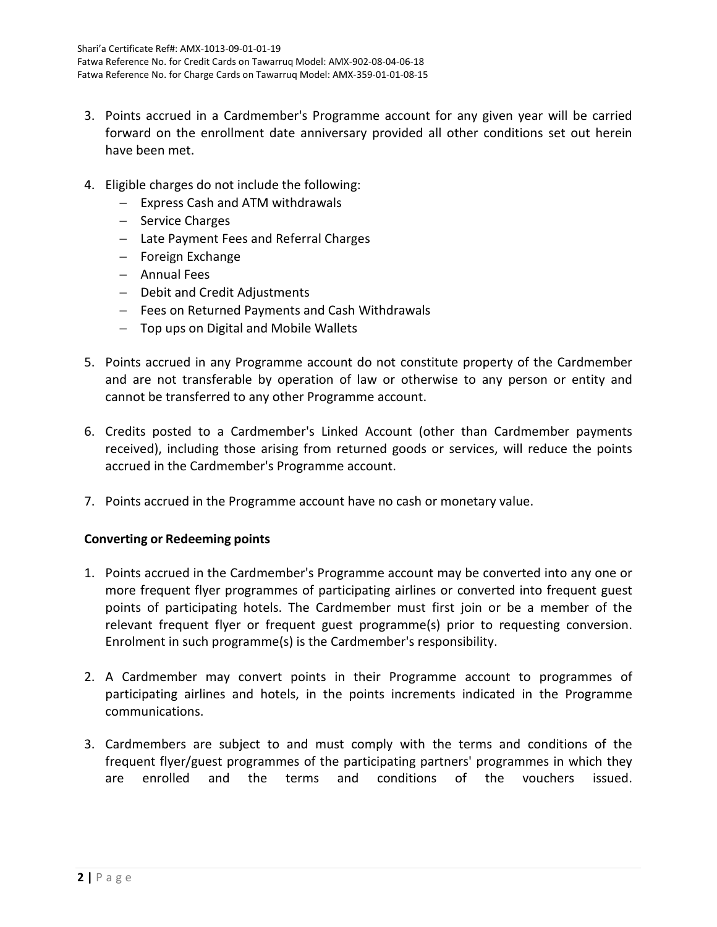- 3. Points accrued in a Cardmember's Programme account for any given year will be carried forward on the enrollment date anniversary provided all other conditions set out herein have been met.
- 4. Eligible charges do not include the following:
	- − Express Cash and ATM withdrawals
	- − Service Charges
	- − Late Payment Fees and Referral Charges
	- − Foreign Exchange
	- − Annual Fees
	- − Debit and Credit Adjustments
	- − Fees on Returned Payments and Cash Withdrawals
	- − Top ups on Digital and Mobile Wallets
- 5. Points accrued in any Programme account do not constitute property of the Cardmember and are not transferable by operation of law or otherwise to any person or entity and cannot be transferred to any other Programme account.
- 6. Credits posted to a Cardmember's Linked Account (other than Cardmember payments received), including those arising from returned goods or services, will reduce the points accrued in the Cardmember's Programme account.
- 7. Points accrued in the Programme account have no cash or monetary value.

#### **Converting or Redeeming points**

- 1. Points accrued in the Cardmember's Programme account may be converted into any one or more frequent flyer programmes of participating airlines or converted into frequent guest points of participating hotels. The Cardmember must first join or be a member of the relevant frequent flyer or frequent guest programme(s) prior to requesting conversion. Enrolment in such programme(s) is the Cardmember's responsibility.
- 2. A Cardmember may convert points in their Programme account to programmes of participating airlines and hotels, in the points increments indicated in the Programme communications.
- 3. Cardmembers are subject to and must comply with the terms and conditions of the frequent flyer/guest programmes of the participating partners' programmes in which they are enrolled and the terms and conditions of the vouchers issued.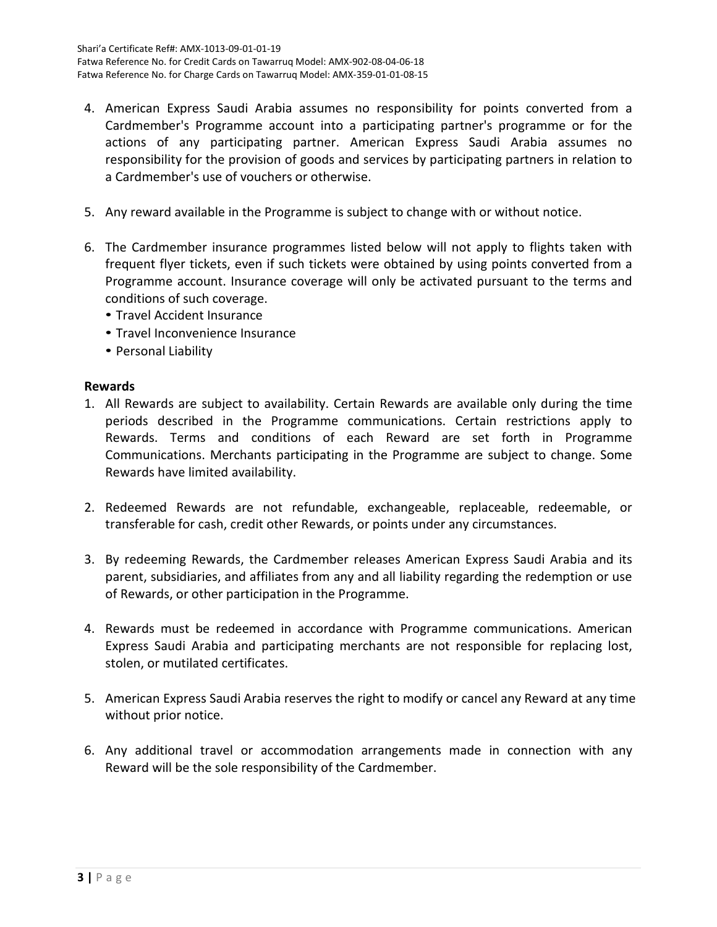- 4. American Express Saudi Arabia assumes no responsibility for points converted from a Cardmember's Programme account into a participating partner's programme or for the actions of any participating partner. American Express Saudi Arabia assumes no responsibility for the provision of goods and services by participating partners in relation to a Cardmember's use of vouchers or otherwise.
- 5. Any reward available in the Programme is subject to change with or without notice.
- 6. The Cardmember insurance programmes listed below will not apply to flights taken with frequent flyer tickets, even if such tickets were obtained by using points converted from a Programme account. Insurance coverage will only be activated pursuant to the terms and conditions of such coverage.
	- Travel Accident Insurance
	- Travel Inconvenience Insurance
	- Personal Liability

## **Rewards**

- 1. All Rewards are subject to availability. Certain Rewards are available only during the time periods described in the Programme communications. Certain restrictions apply to Rewards. Terms and conditions of each Reward are set forth in Programme Communications. Merchants participating in the Programme are subject to change. Some Rewards have limited availability.
- 2. Redeemed Rewards are not refundable, exchangeable, replaceable, redeemable, or transferable for cash, credit other Rewards, or points under any circumstances.
- 3. By redeeming Rewards, the Cardmember releases American Express Saudi Arabia and its parent, subsidiaries, and affiliates from any and all liability regarding the redemption or use of Rewards, or other participation in the Programme.
- 4. Rewards must be redeemed in accordance with Programme communications. American Express Saudi Arabia and participating merchants are not responsible for replacing lost, stolen, or mutilated certificates.
- 5. American Express Saudi Arabia reserves the right to modify or cancel any Reward at any time without prior notice.
- 6. Any additional travel or accommodation arrangements made in connection with any Reward will be the sole responsibility of the Cardmember.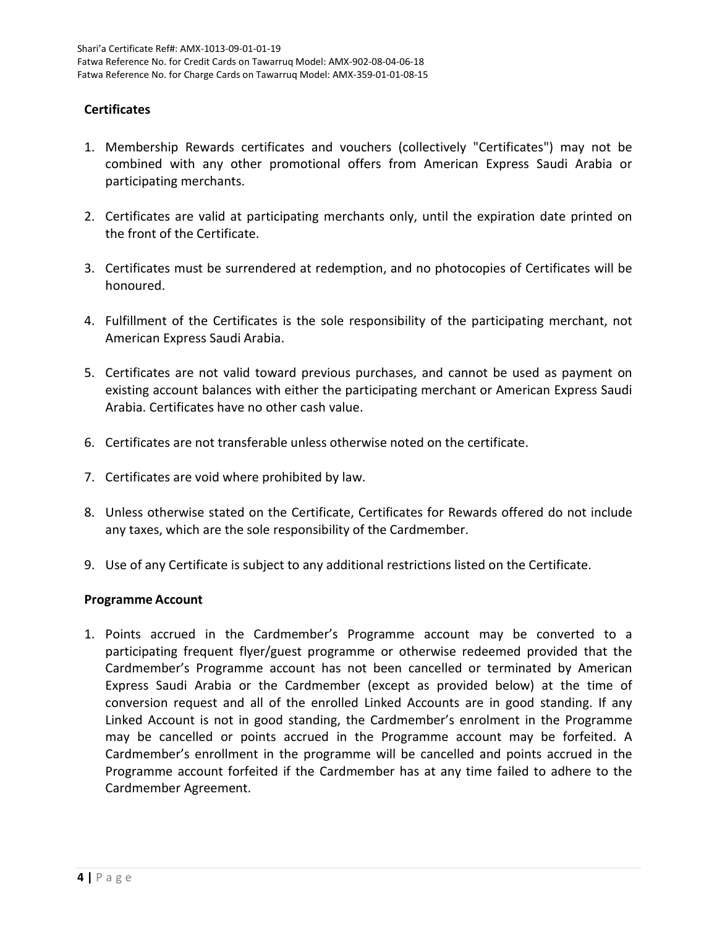## **Certificates**

- 1. Membership Rewards certificates and vouchers (collectively "Certificates") may not be combined with any other promotional offers from American Express Saudi Arabia or participating merchants.
- 2. Certificates are valid at participating merchants only, until the expiration date printed on the front of the Certificate.
- 3. Certificates must be surrendered at redemption, and no photocopies of Certificates will be honoured.
- 4. Fulfillment of the Certificates is the sole responsibility of the participating merchant, not American Express Saudi Arabia.
- 5. Certificates are not valid toward previous purchases, and cannot be used as payment on existing account balances with either the participating merchant or American Express Saudi Arabia. Certificates have no other cash value.
- 6. Certificates are not transferable unless otherwise noted on the certificate.
- 7. Certificates are void where prohibited by law.
- 8. Unless otherwise stated on the Certificate, Certificates for Rewards offered do not include any taxes, which are the sole responsibility of the Cardmember.
- 9. Use of any Certificate is subject to any additional restrictions listed on the Certificate.

#### **Programme Account**

1. Points accrued in the Cardmember's Programme account may be converted to a participating frequent flyer/guest programme or otherwise redeemed provided that the Cardmember's Programme account has not been cancelled or terminated by American Express Saudi Arabia or the Cardmember (except as provided below) at the time of conversion request and all of the enrolled Linked Accounts are in good standing. If any Linked Account is not in good standing, the Cardmember's enrolment in the Programme may be cancelled or points accrued in the Programme account may be forfeited. A Cardmember's enrollment in the programme will be cancelled and points accrued in the Programme account forfeited if the Cardmember has at any time failed to adhere to the Cardmember Agreement.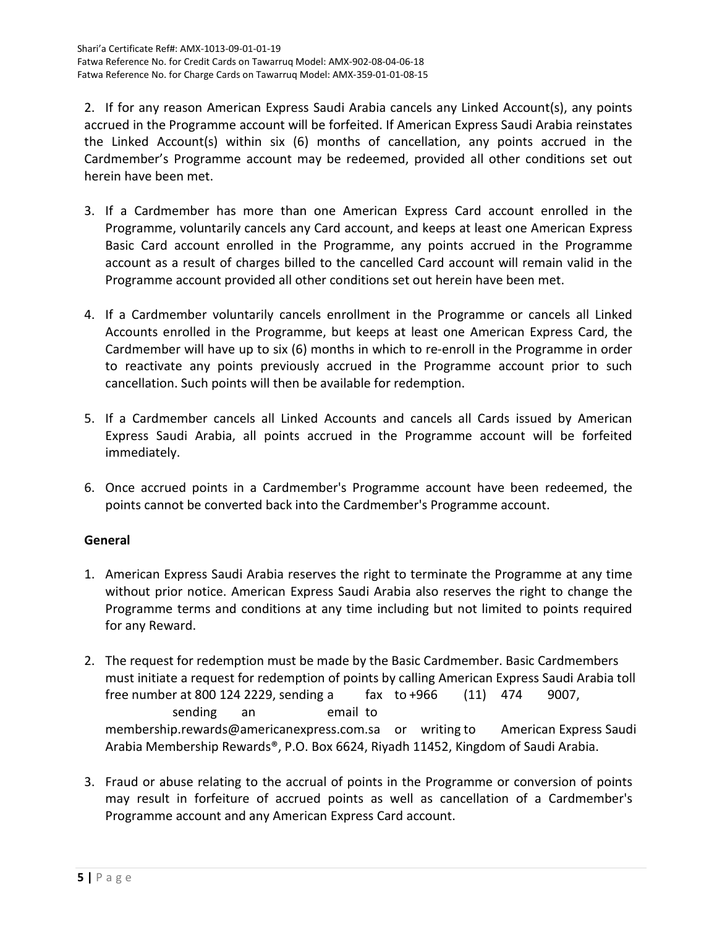2. If for any reason American Express Saudi Arabia cancels any Linked Account(s), any points accrued in the Programme account will be forfeited. If American Express Saudi Arabia reinstates the Linked Account(s) within six (6) months of cancellation, any points accrued in the Cardmember's Programme account may be redeemed, provided all other conditions set out herein have been met.

- 3. If a Cardmember has more than one American Express Card account enrolled in the Programme, voluntarily cancels any Card account, and keeps at least one American Express Basic Card account enrolled in the Programme, any points accrued in the Programme account as a result of charges billed to the cancelled Card account will remain valid in the Programme account provided all other conditions set out herein have been met.
- 4. If a Cardmember voluntarily cancels enrollment in the Programme or cancels all Linked Accounts enrolled in the Programme, but keeps at least one American Express Card, the Cardmember will have up to six (6) months in which to re-enroll in the Programme in order to reactivate any points previously accrued in the Programme account prior to such cancellation. Such points will then be available for redemption.
- 5. If a Cardmember cancels all Linked Accounts and cancels all Cards issued by American Express Saudi Arabia, all points accrued in the Programme account will be forfeited immediately.
- 6. Once accrued points in a Cardmember's Programme account have been redeemed, the points cannot be converted back into the Cardmember's Programme account.

# **General**

- 1. American Express Saudi Arabia reserves the right to terminate the Programme at any time without prior notice. American Express Saudi Arabia also reserves the right to change the Programme terms and conditions at any time including but not limited to points required for any Reward.
- 2. The request for redemption must be made by the Basic Cardmember. Basic Cardmembers must initiate a request for redemption of points by calling American Express Saudi Arabia toll free number at 800 124 2229, sending a fax to +966 (11) 474 9007, sending an email to [membership.rewards@americanexpress.com.sa](mailto:membership.rewards@americanexpress.com.sa) or writing to American Express Saudi Arabia Membership Rewards®, P.O. Box 6624, Riyadh 11452, Kingdom of Saudi Arabia.
- 3. Fraud or abuse relating to the accrual of points in the Programme or conversion of points may result in forfeiture of accrued points as well as cancellation of a Cardmember's Programme account and any American Express Card account.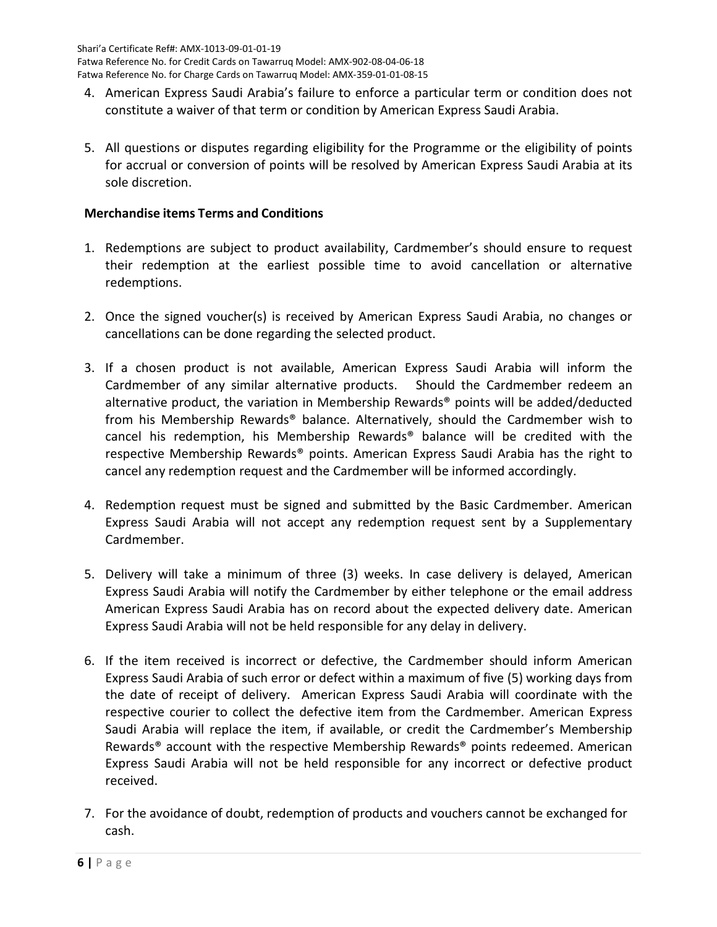- 4. American Express Saudi Arabia's failure to enforce a particular term or condition does not constitute a waiver of that term or condition by American Express Saudi Arabia.
- 5. All questions or disputes regarding eligibility for the Programme or the eligibility of points for accrual or conversion of points will be resolved by American Express Saudi Arabia at its sole discretion.

## **Merchandise items Terms and Conditions**

- 1. Redemptions are subject to product availability, Cardmember's should ensure to request their redemption at the earliest possible time to avoid cancellation or alternative redemptions.
- 2. Once the signed voucher(s) is received by American Express Saudi Arabia, no changes or cancellations can be done regarding the selected product.
- 3. If a chosen product is not available, American Express Saudi Arabia will inform the Cardmember of any similar alternative products. Should the Cardmember redeem an alternative product, the variation in Membership Rewards® points will be added/deducted from his Membership Rewards® balance. Alternatively, should the Cardmember wish to cancel his redemption, his Membership Rewards® balance will be credited with the respective Membership Rewards® points. American Express Saudi Arabia has the right to cancel any redemption request and the Cardmember will be informed accordingly.
- 4. Redemption request must be signed and submitted by the Basic Cardmember. American Express Saudi Arabia will not accept any redemption request sent by a Supplementary Cardmember.
- 5. Delivery will take a minimum of three (3) weeks. In case delivery is delayed, American Express Saudi Arabia will notify the Cardmember by either telephone or the email address American Express Saudi Arabia has on record about the expected delivery date. American Express Saudi Arabia will not be held responsible for any delay in delivery.
- 6. If the item received is incorrect or defective, the Cardmember should inform American Express Saudi Arabia of such error or defect within a maximum of five (5) working days from the date of receipt of delivery. American Express Saudi Arabia will coordinate with the respective courier to collect the defective item from the Cardmember. American Express Saudi Arabia will replace the item, if available, or credit the Cardmember's Membership Rewards® account with the respective Membership Rewards® points redeemed. American Express Saudi Arabia will not be held responsible for any incorrect or defective product received.
- 7. For the avoidance of doubt, redemption of products and vouchers cannot be exchanged for cash.